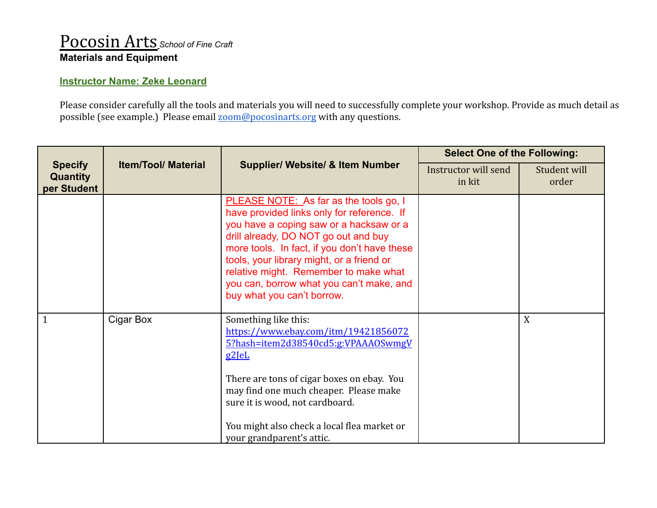## Pocosin Arts *School of Fine Craft* **Materials and Equipment**

## **Instructor Name: Zeke Leonard**

Please consider carefully all the tools and materials you will need to successfully complete your workshop. Provide as much detail as possible (see example.) Please email [zoom@pocosinarts.org](mailto:zoom@pocosinarts.org) with any questions.

| <b>Specify</b><br><b>Quantity</b><br>per Student | <b>Item/Tool/ Material</b> | <b>Supplier/ Website/ &amp; Item Number</b>                                                                                                                                                                                                                                                                                                                                             | <b>Select One of the Following:</b> |                       |
|--------------------------------------------------|----------------------------|-----------------------------------------------------------------------------------------------------------------------------------------------------------------------------------------------------------------------------------------------------------------------------------------------------------------------------------------------------------------------------------------|-------------------------------------|-----------------------|
|                                                  |                            |                                                                                                                                                                                                                                                                                                                                                                                         | Instructor will send<br>in kit      | Student will<br>order |
|                                                  |                            | PLEASE NOTE: As far as the tools go, I<br>have provided links only for reference. If<br>you have a coping saw or a hacksaw or a<br>drill already, DO NOT go out and buy<br>more tools. In fact, if you don't have these<br>tools, your library might, or a friend or<br>relative might. Remember to make what<br>you can, borrow what you can't make, and<br>buy what you can't borrow. |                                     |                       |
| 1                                                | Cigar Box                  | Something like this:<br>https://www.ebay.com/itm/19421856072<br>5?hash=item2d38540cd5:g:VPAAA0SwmgV<br>$g2$ le $L$<br>There are tons of cigar boxes on ebay. You<br>may find one much cheaper. Please make<br>sure it is wood, not cardboard.<br>You might also check a local flea market or<br>your grandparent's attic.                                                               |                                     | X                     |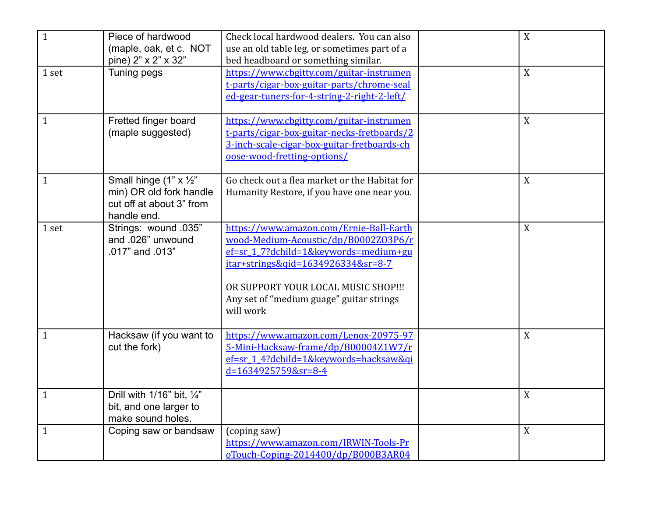| $\mathbf{1}$ | Piece of hardwood<br>(maple, oak, et c. NOT<br>pine) 2" x 2" x 32"                           | Check local hardwood dealers. You can also<br>use an old table leg, or sometimes part of a<br>bed headboard or something similar.                                                                                                                               | X |
|--------------|----------------------------------------------------------------------------------------------|-----------------------------------------------------------------------------------------------------------------------------------------------------------------------------------------------------------------------------------------------------------------|---|
| 1 set        | Tuning pegs                                                                                  | https://www.cbgitty.com/guitar-instrumen<br>t-parts/cigar-box-guitar-parts/chrome-seal<br>ed-gear-tuners-for-4-string-2-right-2-left/                                                                                                                           | X |
| $\mathbf{1}$ | Fretted finger board<br>(maple suggested)                                                    | https://www.cbgitty.com/guitar-instrumen<br>t-parts/cigar-box-guitar-necks-fretboards/2<br>3-inch-scale-cigar-box-guitar-fretboards-ch<br>oose-wood-fretting-options/                                                                                           | X |
| $\mathbf{1}$ | Small hinge (1" x 1/2"<br>min) OR old fork handle<br>cut off at about 3" from<br>handle end. | Go check out a flea market or the Habitat for<br>Humanity Restore, if you have one near you.                                                                                                                                                                    | X |
| 1 set        | Strings: wound .035"<br>and .026" unwound<br>.017" and .013"                                 | https://www.amazon.com/Ernie-Ball-Earth<br>wood-Medium-Acoustic/dp/B0002Z03P6/r<br>ef=sr_1_7?dchild=1&keywords=medium+gu<br>itar+strings&qid=1634926334&sr=8-7<br>OR SUPPORT YOUR LOCAL MUSIC SHOP !!!<br>Any set of "medium guage" guitar strings<br>will work | X |
| $\mathbf{1}$ | Hacksaw (if you want to<br>cut the fork)                                                     | https://www.amazon.com/Lenox-20975-97<br>5-Mini-Hacksaw-frame/dp/B00004Z1W7/r<br>ef=sr_1_4?dchild=1&keywords=hacksaw&qi<br>$d=1634925759&sr=8-4$                                                                                                                | X |
| $\mathbf{1}$ | Drill with $1/16$ " bit, $\frac{1}{4}$ "<br>bit, and one larger to<br>make sound holes.      |                                                                                                                                                                                                                                                                 | X |
| $\mathbf{1}$ | Coping saw or bandsaw                                                                        | (coping saw)<br>https://www.amazon.com/IRWIN-Tools-Pr<br>oTouch-Coping-2014400/dp/B000B3AR04                                                                                                                                                                    | X |